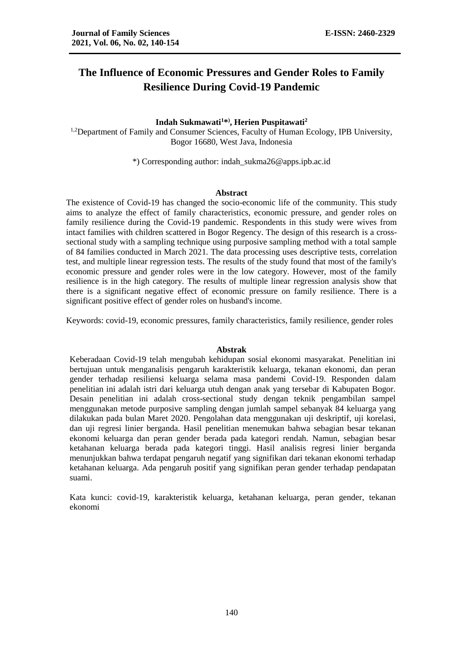# **The Influence of Economic Pressures and Gender Roles to Family Resilience During Covid-19 Pandemic**

# **Indah Sukmawati<sup>1</sup>\* ) , Herien Puspitawati<sup>2</sup>**

<sup>1,2</sup>Department of Family and Consumer Sciences, Faculty of Human Ecology, IPB University, Bogor 16680, West Java, Indonesia

\*) Corresponding author: indah\_sukma26@apps.ipb.ac.id

## **Abstract**

The existence of Covid-19 has changed the socio-economic life of the community. This study aims to analyze the effect of family characteristics, economic pressure, and gender roles on family resilience during the Covid-19 pandemic. Respondents in this study were wives from intact families with children scattered in Bogor Regency. The design of this research is a crosssectional study with a sampling technique using purposive sampling method with a total sample of 84 families conducted in March 2021. The data processing uses descriptive tests, correlation test, and multiple linear regression tests. The results of the study found that most of the family's economic pressure and gender roles were in the low category. However, most of the family resilience is in the high category. The results of multiple linear regression analysis show that there is a significant negative effect of economic pressure on family resilience. There is a significant positive effect of gender roles on husband's income.

Keywords: covid-19, economic pressures, family characteristics, family resilience, gender roles

#### **Abstrak**

Keberadaan Covid-19 telah mengubah kehidupan sosial ekonomi masyarakat. Penelitian ini bertujuan untuk menganalisis pengaruh karakteristik keluarga, tekanan ekonomi, dan peran gender terhadap resiliensi keluarga selama masa pandemi Covid-19. Responden dalam penelitian ini adalah istri dari keluarga utuh dengan anak yang tersebar di Kabupaten Bogor. Desain penelitian ini adalah cross-sectional study dengan teknik pengambilan sampel menggunakan metode purposive sampling dengan jumlah sampel sebanyak 84 keluarga yang dilakukan pada bulan Maret 2020. Pengolahan data menggunakan uji deskriptif, uji korelasi, dan uji regresi linier berganda. Hasil penelitian menemukan bahwa sebagian besar tekanan ekonomi keluarga dan peran gender berada pada kategori rendah. Namun, sebagian besar ketahanan keluarga berada pada kategori tinggi. Hasil analisis regresi linier berganda menunjukkan bahwa terdapat pengaruh negatif yang signifikan dari tekanan ekonomi terhadap ketahanan keluarga. Ada pengaruh positif yang signifikan peran gender terhadap pendapatan suami.

Kata kunci: covid-19, karakteristik keluarga, ketahanan keluarga, peran gender, tekanan ekonomi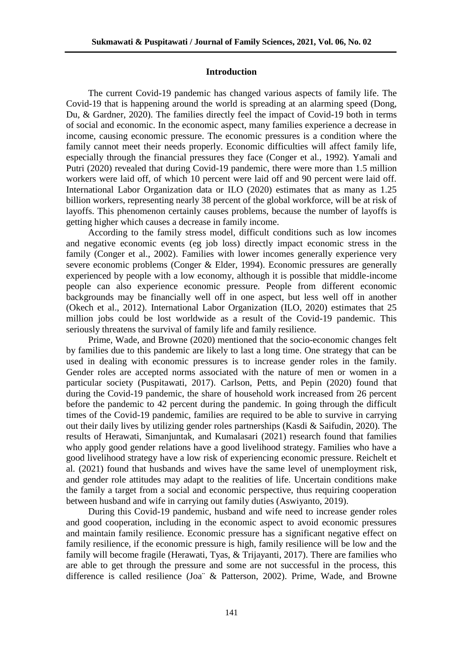## **Introduction**

The current Covid-19 pandemic has changed various aspects of family life. The Covid-19 that is happening around the world is spreading at an alarming speed (Dong, Du, & Gardner, 2020). The families directly feel the impact of Covid-19 both in terms of social and economic. In the economic aspect, many families experience a decrease in income, causing economic pressure. The economic pressures is a condition where the family cannot meet their needs properly. Economic difficulties will affect family life, especially through the financial pressures they face (Conger et al*.*, 1992). Yamali and Putri (2020) revealed that during Covid-19 pandemic, there were more than 1.5 million workers were laid off, of which 10 percent were laid off and 90 percent were laid off. International Labor Organization data or ILO (2020) estimates that as many as 1.25 billion workers, representing nearly 38 percent of the global workforce, will be at risk of layoffs. This phenomenon certainly causes problems, because the number of layoffs is getting higher which causes a decrease in family income.

According to the family stress model, difficult conditions such as low incomes and negative economic events (eg job loss) directly impact economic stress in the family (Conger et al., 2002). Families with lower incomes generally experience very severe economic problems (Conger & Elder, 1994). Economic pressures are generally experienced by people with a low economy, although it is possible that middle-income people can also experience economic pressure. People from different economic backgrounds may be financially well off in one aspect, but less well off in another (Okech et al., 2012). International Labor Organization (ILO, 2020) estimates that 25 million jobs could be lost worldwide as a result of the Covid-19 pandemic. This seriously threatens the survival of family life and family resilience.

Prime, Wade, and Browne (2020) mentioned that the socio-economic changes felt by families due to this pandemic are likely to last a long time. One strategy that can be used in dealing with economic pressures is to increase gender roles in the family. Gender roles are accepted norms associated with the nature of men or women in a particular society (Puspitawati, 2017). Carlson, Petts, and Pepin (2020) found that during the Covid-19 pandemic, the share of household work increased from 26 percent before the pandemic to 42 percent during the pandemic. In going through the difficult times of the Covid-19 pandemic, families are required to be able to survive in carrying out their daily lives by utilizing gender roles partnerships (Kasdi & Saifudin, 2020). The results of Herawati, Simanjuntak, and Kumalasari (2021) research found that families who apply good gender relations have a good livelihood strategy. Families who have a good livelihood strategy have a low risk of experiencing economic pressure. Reichelt et al. (2021) found that husbands and wives have the same level of unemployment risk, and gender role attitudes may adapt to the realities of life. Uncertain conditions make the family a target from a social and economic perspective, thus requiring cooperation between husband and wife in carrying out family duties (Aswiyanto, 2019).

During this Covid-19 pandemic, husband and wife need to increase gender roles and good cooperation, including in the economic aspect to avoid economic pressures and maintain family resilience. Economic pressure has a significant negative effect on family resilience, if the economic pressure is high, family resilience will be low and the family will become fragile (Herawati, Tyas, & Trijayanti, 2017). There are families who are able to get through the pressure and some are not successful in the process, this difference is called resilience (Joa¨ & Patterson, 2002). Prime, Wade, and Browne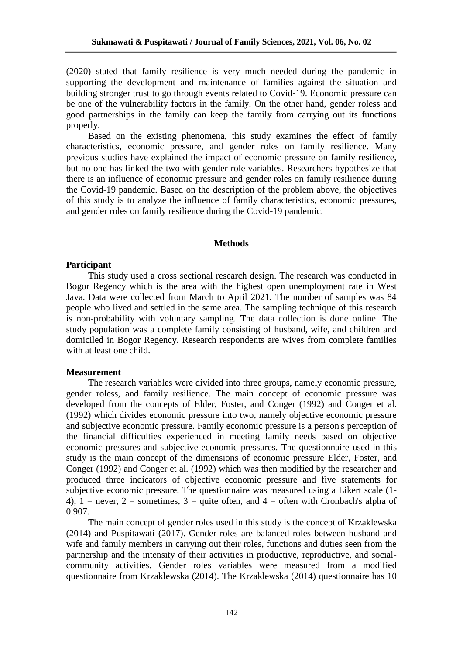(2020) stated that family resilience is very much needed during the pandemic in supporting the development and maintenance of families against the situation and building stronger trust to go through events related to Covid-19. Economic pressure can be one of the vulnerability factors in the family. On the other hand, gender roless and good partnerships in the family can keep the family from carrying out its functions properly.

Based on the existing phenomena, this study examines the effect of family characteristics, economic pressure, and gender roles on family resilience. Many previous studies have explained the impact of economic pressure on family resilience, but no one has linked the two with gender role variables. Researchers hypothesize that there is an influence of economic pressure and gender roles on family resilience during the Covid-19 pandemic. Based on the description of the problem above, the objectives of this study is to analyze the influence of family characteristics, economic pressures, and gender roles on family resilience during the Covid-19 pandemic.

#### **Methods**

# **Participant**

This study used a cross sectional research design. The research was conducted in Bogor Regency which is the area with the highest open unemployment rate in West Java. Data were collected from March to April 2021. The number of samples was 84 people who lived and settled in the same area. The sampling technique of this research is non-probability with voluntary sampling. The data collection is done online. The study population was a complete family consisting of husband, wife, and children and domiciled in Bogor Regency. Research respondents are wives from complete families with at least one child.

## **Measurement**

The research variables were divided into three groups, namely economic pressure, gender roless, and family resilience. The main concept of economic pressure was developed from the concepts of Elder, Foster, and Conger (1992) and Conger et al. (1992) which divides economic pressure into two, namely objective economic pressure and subjective economic pressure. Family economic pressure is a person's perception of the financial difficulties experienced in meeting family needs based on objective economic pressures and subjective economic pressures. The questionnaire used in this study is the main concept of the dimensions of economic pressure Elder, Foster, and Conger (1992) and Conger et al. (1992) which was then modified by the researcher and produced three indicators of objective economic pressure and five statements for subjective economic pressure. The questionnaire was measured using a Likert scale (1- 4),  $1 =$  never,  $2 =$  sometimes,  $3 =$  quite often, and  $4 =$  often with Cronbach's alpha of 0.907.

The main concept of gender roles used in this study is the concept of Krzaklewska (2014) and Puspitawati (2017). Gender roles are balanced roles between husband and wife and family members in carrying out their roles, functions and duties seen from the partnership and the intensity of their activities in productive, reproductive, and socialcommunity activities. Gender roles variables were measured from a modified questionnaire from Krzaklewska (2014). The Krzaklewska (2014) questionnaire has 10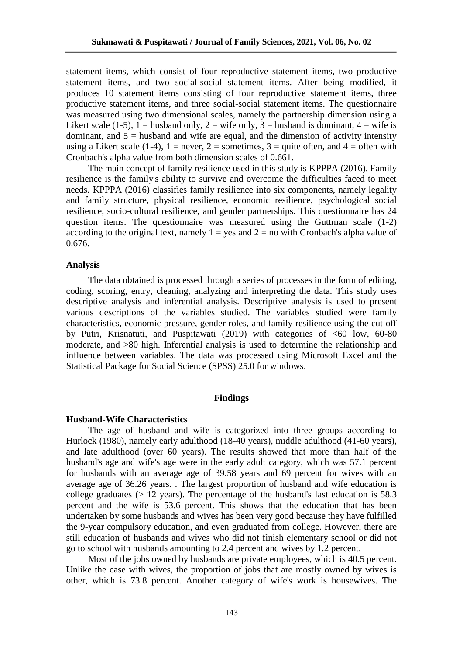statement items, which consist of four reproductive statement items, two productive statement items, and two social-social statement items. After being modified, it produces 10 statement items consisting of four reproductive statement items, three productive statement items, and three social-social statement items. The questionnaire was measured using two dimensional scales, namely the partnership dimension using a Likert scale (1-5), 1 = husband only, 2 = wife only, 3 = husband is dominant, 4 = wife is dominant, and  $5 =$  husband and wife are equal, and the dimension of activity intensity using a Likert scale (1-4),  $1 =$  never,  $2 =$  sometimes,  $3 =$  quite often, and  $4 =$  often with Cronbach's alpha value from both dimension scales of 0.661.

The main concept of family resilience used in this study is KPPPA (2016). Family resilience is the family's ability to survive and overcome the difficulties faced to meet needs. KPPPA (2016) classifies family resilience into six components, namely legality and family structure, physical resilience, economic resilience, psychological social resilience, socio-cultural resilience, and gender partnerships. This questionnaire has 24 question items. The questionnaire was measured using the Guttman scale (1-2) according to the original text, namely  $1 = yes$  and  $2 = no$  with Cronbach's alpha value of 0.676.

## **Analysis**

The data obtained is processed through a series of processes in the form of editing, coding, scoring, entry, cleaning, analyzing and interpreting the data. This study uses descriptive analysis and inferential analysis. Descriptive analysis is used to present various descriptions of the variables studied. The variables studied were family characteristics, economic pressure, gender roles, and family resilience using the cut off by Putri, Krisnatuti, and Puspitawati (2019) with categories of <60 low, 60-80 moderate, and >80 high. Inferential analysis is used to determine the relationship and influence between variables. The data was processed using Microsoft Excel and the Statistical Package for Social Science (SPSS) 25.0 for windows.

## **Findings**

#### **Husband-Wife Characteristics**

The age of husband and wife is categorized into three groups according to Hurlock (1980), namely early adulthood (18-40 years), middle adulthood (41-60 years), and late adulthood (over 60 years). The results showed that more than half of the husband's age and wife's age were in the early adult category, which was 57.1 percent for husbands with an average age of 39.58 years and 69 percent for wives with an average age of 36.26 years. . The largest proportion of husband and wife education is college graduates ( $> 12$  years). The percentage of the husband's last education is 58.3 percent and the wife is 53.6 percent. This shows that the education that has been undertaken by some husbands and wives has been very good because they have fulfilled the 9-year compulsory education, and even graduated from college. However, there are still education of husbands and wives who did not finish elementary school or did not go to school with husbands amounting to 2.4 percent and wives by 1.2 percent.

Most of the jobs owned by husbands are private employees, which is 40.5 percent. Unlike the case with wives, the proportion of jobs that are mostly owned by wives is other, which is 73.8 percent. Another category of wife's work is housewives. The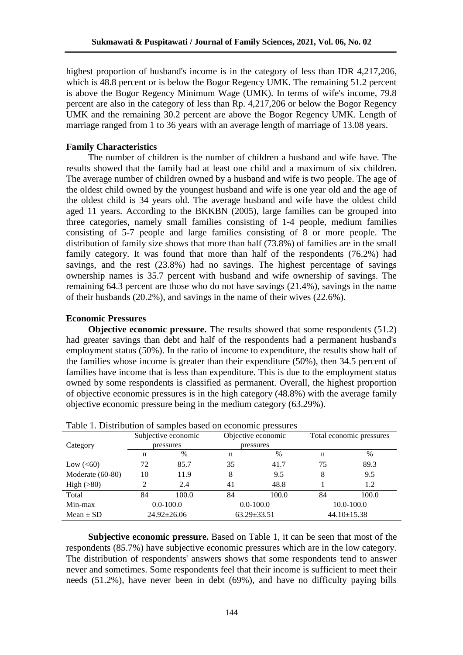highest proportion of husband's income is in the category of less than IDR 4,217,206, which is 48.8 percent or is below the Bogor Regency UMK. The remaining 51.2 percent is above the Bogor Regency Minimum Wage (UMK). In terms of wife's income, 79.8 percent are also in the category of less than Rp. 4,217,206 or below the Bogor Regency UMK and the remaining 30.2 percent are above the Bogor Regency UMK. Length of marriage ranged from 1 to 36 years with an average length of marriage of 13.08 years.

# **Family Characteristics**

The number of children is the number of children a husband and wife have. The results showed that the family had at least one child and a maximum of six children. The average number of children owned by a husband and wife is two people. The age of the oldest child owned by the youngest husband and wife is one year old and the age of the oldest child is 34 years old. The average husband and wife have the oldest child aged 11 years. According to the BKKBN (2005), large families can be grouped into three categories, namely small families consisting of 1-4 people, medium families consisting of 5-7 people and large families consisting of 8 or more people. The distribution of family size shows that more than half (73.8%) of families are in the small family category. It was found that more than half of the respondents (76.2%) had savings, and the rest (23.8%) had no savings. The highest percentage of savings ownership names is 35.7 percent with husband and wife ownership of savings. The remaining 64.3 percent are those who do not have savings (21.4%), savings in the name of their husbands (20.2%), and savings in the name of their wives (22.6%).

## **Economic Pressures**

**Objective economic pressure.** The results showed that some respondents (51.2) had greater savings than debt and half of the respondents had a permanent husband's employment status (50%). In the ratio of income to expenditure, the results show half of the families whose income is greater than their expenditure (50%), then 34.5 percent of families have income that is less than expenditure. This is due to the employment status owned by some respondents is classified as permanent. Overall, the highest proportion of objective economic pressures is in the high category (48.8%) with the average family objective economic pressure being in the medium category (63.29%).

|                  | Subjective economic |                   |    | Objective economic | Total economic pressures |       |
|------------------|---------------------|-------------------|----|--------------------|--------------------------|-------|
| Category         |                     | pressures         |    | pressures          |                          |       |
|                  | n                   | $\%$              | n  | %                  | n                        | $\%$  |
| Low $(<60)$      | 72                  | 85.7              | 35 | 41.7               | 75                       | 89.3  |
| Moderate (60-80) | 10                  | 11.9              | 8  | 9.5                | 8                        | 9.5   |
| High $(>80)$     | 2                   | 2.4               | 41 | 48.8               |                          | 1.2   |
| Total            | 84                  | 100.0             | 84 | 100.0              | 84                       | 100.0 |
| Min-max          | $0.0 - 100.0$       |                   |    | $0.0 - 100.0$      | $10.0 - 100.0$           |       |
| $Mean \pm SD$    |                     | $24.92 \pm 26.06$ |    | $63.29 \pm 33.51$  | $44.10 \pm 15.38$        |       |

Table 1. Distribution of samples based on economic pressures

**Subjective economic pressure.** Based on Table 1, it can be seen that most of the respondents (85.7%) have subjective economic pressures which are in the low category. The distribution of respondents' answers shows that some respondents tend to answer never and sometimes. Some respondents feel that their income is sufficient to meet their needs (51.2%), have never been in debt (69%), and have no difficulty paying bills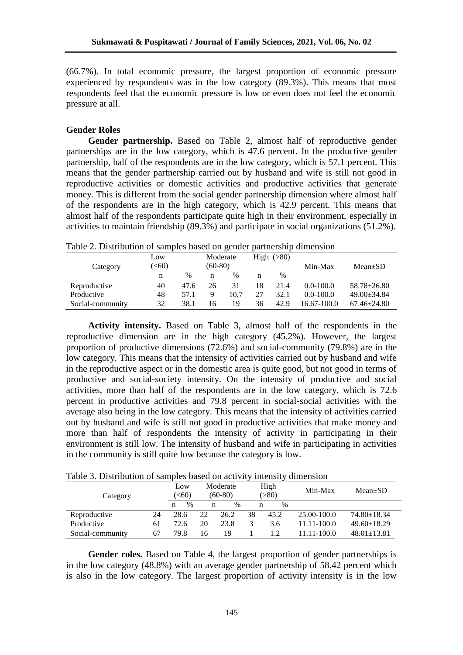(66.7%). In total economic pressure, the largest proportion of economic pressure experienced by respondents was in the low category (89.3%). This means that most respondents feel that the economic pressure is low or even does not feel the economic pressure at all.

## **Gender Roles**

Gender partnership. Based on Table 2, almost half of reproductive gender partnerships are in the low category, which is 47.6 percent. In the productive gender partnership, half of the respondents are in the low category, which is 57.1 percent. This means that the gender partnership carried out by husband and wife is still not good in reproductive activities or domestic activities and productive activities that generate money. This is different from the social gender partnership dimension where almost half of the respondents are in the high category, which is 42.9 percent. This means that almost half of the respondents participate quite high in their environment, especially in activities to maintain friendship (89.3%) and participate in social organizations (51.2%).

|                  | Low           |      | Moderate  |      |    | High $(>80)$ |               |                   |
|------------------|---------------|------|-----------|------|----|--------------|---------------|-------------------|
| Category         | ( <b>60</b> ) |      | $(60-80)$ |      |    |              | Min-Max       | $Mean \pm SD$     |
|                  | n             | $\%$ | n         | $\%$ | n  | $\%$         |               |                   |
| Reproductive     | 40            | 47.6 | 26        | 31   | 18 | 21.4         | $0.0 - 100.0$ | $58.78 \pm 26.80$ |
| Productive       | 48            | 57.1 |           | 10.7 | 27 | 32.1         | $0.0 - 100.0$ | $49.00 \pm 34.84$ |
| Social-community | 32            | 38.1 | 16        | 19   | 36 | 42.9         | 16.67-100.0   | $67.46 \pm 24.80$ |

Table 2. Distribution of samples based on gender partnership dimension

**Activity intensity.** Based on Table 3, almost half of the respondents in the reproductive dimension are in the high category (45.2%). However, the largest proportion of productive dimensions (72.6%) and social-community (79.8%) are in the low category. This means that the intensity of activities carried out by husband and wife in the reproductive aspect or in the domestic area is quite good, but not good in terms of productive and social-society intensity. On the intensity of productive and social activities, more than half of the respondents are in the low category, which is 72.6 percent in productive activities and 79.8 percent in social-social activities with the average also being in the low category. This means that the intensity of activities carried out by husband and wife is still not good in productive activities that make money and more than half of respondents the intensity of activity in participating in their environment is still low. The intensity of husband and wife in participating in activities in the community is still quite low because the category is low.

| Category         |    | Low<br>$\leq 60$ |    | Moderate<br>(60-80) |    | High<br>( > 80) | Min-Max     | $Mean \pm SD$     |
|------------------|----|------------------|----|---------------------|----|-----------------|-------------|-------------------|
|                  |    | $\%$<br>n        | n  | $\%$                |    | $\%$<br>n       |             |                   |
| Reproductive     | 24 | 28.6             | 22 | 26.2                | 38 | 45.2            | 25.00-100.0 | $74.80 \pm 18.34$ |
| Productive       | 61 | 72.6             | 20 | 23.8                |    | 3.6             | 11.11-100.0 | $49.60 \pm 18.29$ |
| Social-community | 67 | 79.8             | 16 | 19                  |    |                 | 1.11-100.0  | $48.01 \pm 13.81$ |

Table 3. Distribution of samples based on activity intensity dimension

**Gender roles.** Based on Table 4, the largest proportion of gender partnerships is in the low category (48.8%) with an average gender partnership of 58.42 percent which is also in the low category. The largest proportion of activity intensity is in the low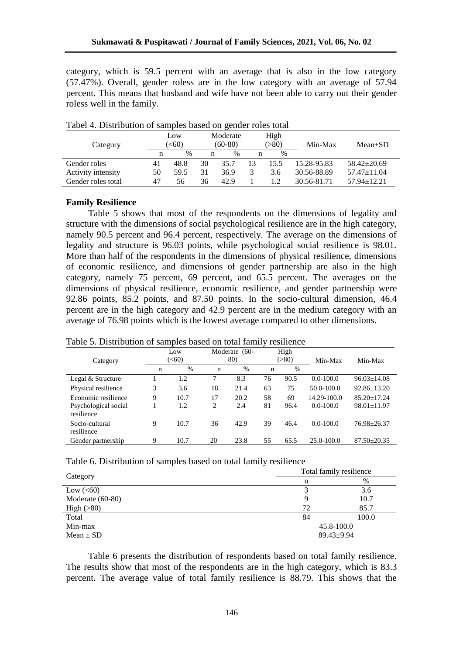category, which is 59.5 percent with an average that is also in the low category (57.47%). Overall, gender roless are in the low category with an average of 57.94 percent. This means that husband and wife have not been able to carry out their gender roless well in the family.

|                    |    | Low  |    | Moderate  |    | High  |             |                   |
|--------------------|----|------|----|-----------|----|-------|-------------|-------------------|
| Category           |    | (50) |    | $(60-80)$ |    | (>80) | Min-Max     | $Mean \pm SD$     |
|                    | n  | $\%$ | n  | $\%$      | n  | $\%$  |             |                   |
| Gender roles       | 41 | 48.8 | 30 | 35.7      | 13 | 15.5  | 15.28-95.83 | $58.42 \pm 20.69$ |
| Activity intensity | 50 | 59.5 | 31 | 36.9      |    | 3.6   | 30.56-88.89 | $57.47 \pm 11.04$ |
| Gender roles total | 47 | 56   | 36 | 42.9      |    |       | 30.56-81.71 | $57.94 \pm 12.21$ |

Tabel 4. Distribution of samples based on gender roles total

## **Family Resilience**

Table 5 shows that most of the respondents on the dimensions of legality and structure with the dimensions of social psychological resilience are in the high category, namely 90.5 percent and 96.4 percent, respectively. The average on the dimensions of legality and structure is 96.03 points, while psychological social resilience is 98.01. More than half of the respondents in the dimensions of physical resilience, dimensions of economic resilience, and dimensions of gender partnership are also in the high category, namely 75 percent, 69 percent, and 65.5 percent. The averages on the dimensions of physical resilience, economic resilience, and gender partnership were 92.86 points, 85.2 points, and 87.50 points. In the socio-cultural dimension, 46.4 percent are in the high category and 42.9 percent are in the medium category with an average of 76.98 points which is the lowest average compared to other dimensions.

## Table 5. Distribution of samples based on total family resilience

|                                    | Low<br>$(<\!\!60$ |      |             | Moderate (60- |         | High |                |                   |
|------------------------------------|-------------------|------|-------------|---------------|---------|------|----------------|-------------------|
| Category                           |                   |      | 80)         |               | ( > 80) |      | Min-Max        | Min-Max           |
|                                    | n                 | $\%$ | $\mathbf n$ | $\%$          | n       | $\%$ |                |                   |
| Legal & Structure                  |                   | 1.2  |             | 8.3           | 76      | 90.5 | $0.0 - 100.0$  | $96.03 \pm 14.08$ |
| Physical resilience                | 3                 | 3.6  | 18          | 21.4          | 63      | 75   | 50.0-100.0     | $92.86 \pm 13.20$ |
| Economic resilience                | 9                 | 10.7 | 17          | 20.2          | 58      | 69   | 14.29-100.0    | $85.20 + 17.24$   |
| Psychological social<br>resilience |                   | 1.2  | 2           | 2.4           | 81      | 96.4 | $0.0 - 100.0$  | $98.01 \pm 11.97$ |
| Socio-cultural<br>resilience       | 9                 | 10.7 | 36          | 42.9          | 39      | 46.4 | $0.0 - 100.0$  | 76.98±26.37       |
| Gender partnership                 | 9                 | 10.7 | 20          | 23.8          | 55      | 65.5 | $25.0 - 100.0$ | $87.50 \pm 20.35$ |

| Table 6. Distribution of samples based on total family resilience |
|-------------------------------------------------------------------|
|-------------------------------------------------------------------|

| -                | Total family resilience |       |  |
|------------------|-------------------------|-------|--|
| Category         | n                       | %     |  |
| Low $(<60)$      |                         | 3.6   |  |
| Moderate (60-80) | 9                       | 10.7  |  |
| High $(>80)$     | 72                      | 85.7  |  |
| Total            | 84                      | 100.0 |  |
| Min-max          | 45.8-100.0              |       |  |
| $Mean \pm SD$    | $89.43 \pm 9.94$        |       |  |

Table 6 presents the distribution of respondents based on total family resilience. The results show that most of the respondents are in the high category, which is 83.3 percent. The average value of total family resilience is 88.79. This shows that the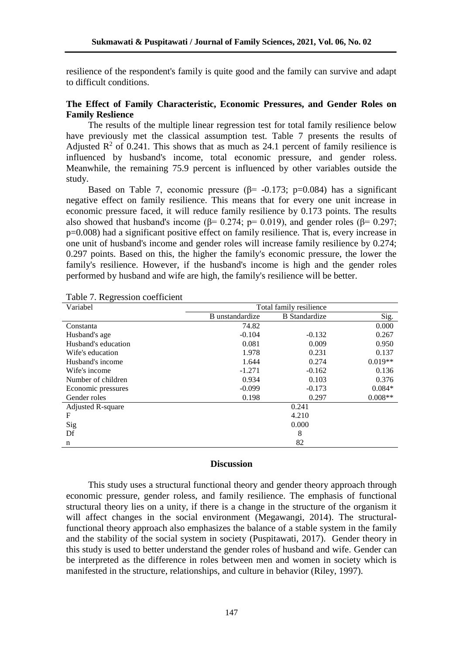resilience of the respondent's family is quite good and the family can survive and adapt to difficult conditions.

# **The Effect of Family Characteristic, Economic Pressures, and Gender Roles on Family Reslience**

The results of the multiple linear regression test for total family resilience below have previously met the classical assumption test. Table 7 presents the results of Adjusted  $\mathbb{R}^2$  of 0.241. This shows that as much as 24.1 percent of family resilience is influenced by husband's income, total economic pressure, and gender roless. Meanwhile, the remaining 75.9 percent is influenced by other variables outside the study.

Based on Table 7, economic pressure ( $\beta$ = -0.173; p=0.084) has a significant negative effect on family resilience. This means that for every one unit increase in economic pressure faced, it will reduce family resilience by 0.173 points. The results also showed that husband's income ( $\beta$ = 0.274; p= 0.019), and gender roles ( $\beta$ = 0.297; p=0.008) had a significant positive effect on family resilience. That is, every increase in one unit of husband's income and gender roles will increase family resilience by 0.274; 0.297 points. Based on this, the higher the family's economic pressure, the lower the family's resilience. However, if the husband's income is high and the gender roles performed by husband and wife are high, the family's resilience will be better.

| raoit : respession coemicient |                         |                      |           |  |  |  |
|-------------------------------|-------------------------|----------------------|-----------|--|--|--|
| Variabel                      | Total family resilience |                      |           |  |  |  |
|                               | B unstandardize         | <b>B</b> Standardize | Sig.      |  |  |  |
| Constanta                     | 74.82                   |                      | 0.000     |  |  |  |
| Husband's age                 | $-0.104$                | $-0.132$             | 0.267     |  |  |  |
| Husband's education           | 0.081                   | 0.009                | 0.950     |  |  |  |
| Wife's education              | 1.978                   | 0.231                | 0.137     |  |  |  |
| Husband's income              | 1.644                   | 0.274                | $0.019**$ |  |  |  |
| Wife's income                 | $-1.271$                | $-0.162$             | 0.136     |  |  |  |
| Number of children            | 0.934                   | 0.103                | 0.376     |  |  |  |
| Economic pressures            | $-0.099$                | $-0.173$             | $0.084*$  |  |  |  |
| Gender roles                  | 0.198                   | 0.297                | $0.008**$ |  |  |  |
| Adjusted R-square             |                         | 0.241                |           |  |  |  |
| F                             |                         | 4.210                |           |  |  |  |
| Sig                           |                         | 0.000                |           |  |  |  |
| Df                            |                         | 8                    |           |  |  |  |
| n                             |                         | 82                   |           |  |  |  |

Table 7. Regression coefficient

## **Discussion**

This study uses a structural functional theory and gender theory approach through economic pressure, gender roless, and family resilience. The emphasis of functional structural theory lies on a unity, if there is a change in the structure of the organism it will affect changes in the social environment (Megawangi, 2014). The structuralfunctional theory approach also emphasizes the balance of a stable system in the family and the stability of the social system in society (Puspitawati, 2017). Gender theory in this study is used to better understand the gender roles of husband and wife. Gender can be interpreted as the difference in roles between men and women in society which is manifested in the structure, relationships, and culture in behavior (Riley, 1997).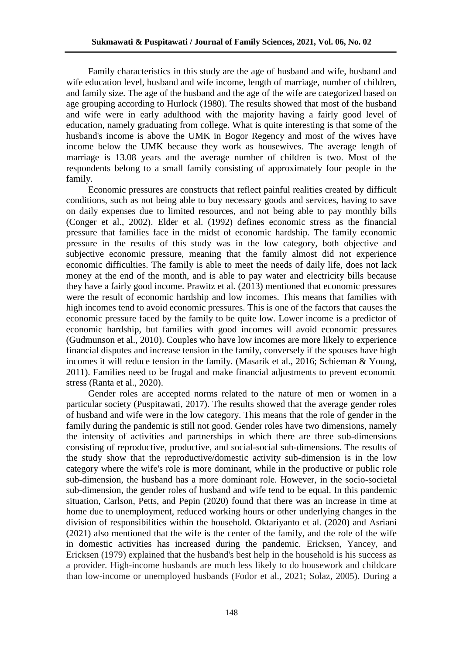Family characteristics in this study are the age of husband and wife, husband and wife education level, husband and wife income, length of marriage, number of children, and family size. The age of the husband and the age of the wife are categorized based on age grouping according to Hurlock (1980). The results showed that most of the husband and wife were in early adulthood with the majority having a fairly good level of education, namely graduating from college. What is quite interesting is that some of the husband's income is above the UMK in Bogor Regency and most of the wives have income below the UMK because they work as housewives. The average length of marriage is 13.08 years and the average number of children is two. Most of the respondents belong to a small family consisting of approximately four people in the family.

Economic pressures are constructs that reflect painful realities created by difficult conditions, such as not being able to buy necessary goods and services, having to save on daily expenses due to limited resources, and not being able to pay monthly bills (Conger et al., 2002). Elder et al. (1992) defines economic stress as the financial pressure that families face in the midst of economic hardship. The family economic pressure in the results of this study was in the low category, both objective and subjective economic pressure, meaning that the family almost did not experience economic difficulties. The family is able to meet the needs of daily life, does not lack money at the end of the month, and is able to pay water and electricity bills because they have a fairly good income. Prawitz et al*.* (2013) mentioned that economic pressures were the result of economic hardship and low incomes. This means that families with high incomes tend to avoid economic pressures. This is one of the factors that causes the economic pressure faced by the family to be quite low. Lower income is a predictor of economic hardship, but families with good incomes will avoid economic pressures (Gudmunson et al., 2010). Couples who have low incomes are more likely to experience financial disputes and increase tension in the family, conversely if the spouses have high incomes it will reduce tension in the family. (Masarik et al., 2016; Schieman & Young, 2011). Families need to be frugal and make financial adjustments to prevent economic stress (Ranta et al., 2020).

Gender roles are accepted norms related to the nature of men or women in a particular society (Puspitawati, 2017). The results showed that the average gender roles of husband and wife were in the low category. This means that the role of gender in the family during the pandemic is still not good. Gender roles have two dimensions, namely the intensity of activities and partnerships in which there are three sub-dimensions consisting of reproductive, productive, and social-social sub-dimensions. The results of the study show that the reproductive/domestic activity sub-dimension is in the low category where the wife's role is more dominant, while in the productive or public role sub-dimension, the husband has a more dominant role. However, in the socio-societal sub-dimension, the gender roles of husband and wife tend to be equal. In this pandemic situation, Carlson, Petts, and Pepin (2020) found that there was an increase in time at home due to unemployment, reduced working hours or other underlying changes in the division of responsibilities within the household. Oktariyanto et al. (2020) and Asriani (2021) also mentioned that the wife is the center of the family, and the role of the wife in domestic activities has increased during the pandemic. Ericksen, Yancey, and Ericksen (1979) explained that the husband's best help in the household is his success as a provider. High-income husbands are much less likely to do housework and childcare than low-income or unemployed husbands (Fodor et al., 2021; Solaz, 2005). During a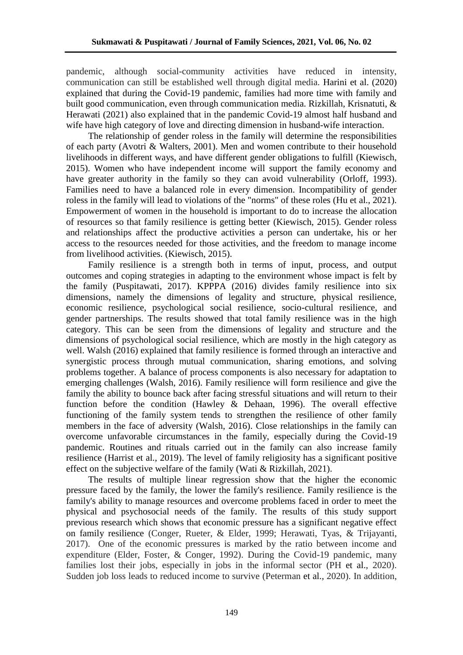pandemic, although social-community activities have reduced in intensity, communication can still be established well through digital media. Harini et al. (2020) explained that during the Covid-19 pandemic, families had more time with family and built good communication, even through communication media. Rizkillah, Krisnatuti, & Herawati (2021) also explained that in the pandemic Covid-19 almost half husband and wife have high category of love and directing dimension in husband-wife interaction.

The relationship of gender roless in the family will determine the responsibilities of each party (Avotri & Walters, 2001). Men and women contribute to their household livelihoods in different ways, and have different gender obligations to fulfill (Kiewisch, 2015). Women who have independent income will support the family economy and have greater authority in the family so they can avoid vulnerability (Orloff, 1993). Families need to have a balanced role in every dimension. Incompatibility of gender roless in the family will lead to violations of the "norms" of these roles (Hu et al., 2021). Empowerment of women in the household is important to do to increase the allocation of resources so that family resilience is getting better (Kiewisch, 2015). Gender roless and relationships affect the productive activities a person can undertake, his or her access to the resources needed for those activities, and the freedom to manage income from livelihood activities. (Kiewisch, 2015).

Family resilience is a strength both in terms of input, process, and output outcomes and coping strategies in adapting to the environment whose impact is felt by the family (Puspitawati, 2017). KPPPA (2016) divides family resilience into six dimensions, namely the dimensions of legality and structure, physical resilience, economic resilience, psychological social resilience, socio-cultural resilience, and gender partnerships. The results showed that total family resilience was in the high category. This can be seen from the dimensions of legality and structure and the dimensions of psychological social resilience, which are mostly in the high category as well. Walsh (2016) explained that family resilience is formed through an interactive and synergistic process through mutual communication, sharing emotions, and solving problems together. A balance of process components is also necessary for adaptation to emerging challenges (Walsh, 2016). Family resilience will form resilience and give the family the ability to bounce back after facing stressful situations and will return to their function before the condition (Hawley  $\&$  Dehaan, 1996). The overall effective functioning of the family system tends to strengthen the resilience of other family members in the face of adversity (Walsh, 2016). Close relationships in the family can overcome unfavorable circumstances in the family, especially during the Covid-19 pandemic. Routines and rituals carried out in the family can also increase family resilience (Harrist et al., 2019). The level of family religiosity has a significant positive effect on the subjective welfare of the family (Wati & Rizkillah, 2021).

The results of multiple linear regression show that the higher the economic pressure faced by the family, the lower the family's resilience. Family resilience is the family's ability to manage resources and overcome problems faced in order to meet the physical and psychosocial needs of the family. The results of this study support previous research which shows that economic pressure has a significant negative effect on family resilience (Conger, Rueter, & Elder, 1999; Herawati, Tyas, & Trijayanti, 2017). One of the economic pressures is marked by the ratio between income and expenditure (Elder, Foster, & Conger, 1992). During the Covid-19 pandemic, many families lost their jobs, especially in jobs in the informal sector (PH et al.*,* 2020). Sudden job loss leads to reduced income to survive (Peterman et al.*,* 2020). In addition,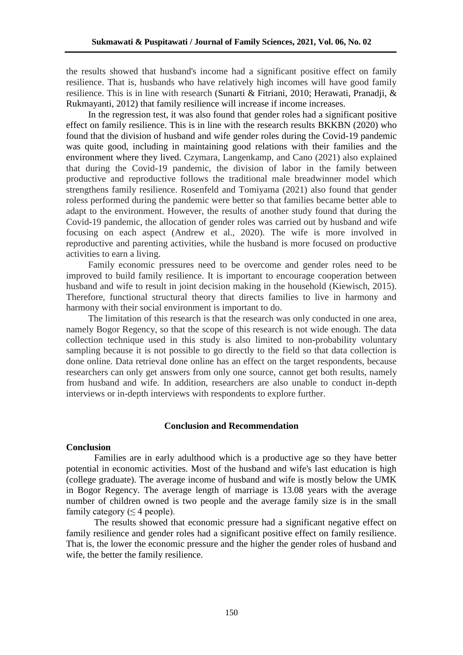the results showed that husband's income had a significant positive effect on family resilience. That is, husbands who have relatively high incomes will have good family resilience. This is in line with research (Sunarti & Fitriani, 2010; Herawati, Pranadji, & Rukmayanti, 2012) that family resilience will increase if income increases.

In the regression test, it was also found that gender roles had a significant positive effect on family resilience. This is in line with the research results BKKBN (2020) who found that the division of husband and wife gender roles during the Covid-19 pandemic was quite good, including in maintaining good relations with their families and the environment where they lived. Czymara, Langenkamp, and Cano (2021) also explained that during the Covid-19 pandemic, the division of labor in the family between productive and reproductive follows the traditional male breadwinner model which strengthens family resilience. Rosenfeld and Tomiyama (2021) also found that gender roless performed during the pandemic were better so that families became better able to adapt to the environment. However, the results of another study found that during the Covid-19 pandemic, the allocation of gender roles was carried out by husband and wife focusing on each aspect (Andrew et al., 2020). The wife is more involved in reproductive and parenting activities, while the husband is more focused on productive activities to earn a living.

Family economic pressures need to be overcome and gender roles need to be improved to build family resilience. It is important to encourage cooperation between husband and wife to result in joint decision making in the household (Kiewisch, 2015). Therefore, functional structural theory that directs families to live in harmony and harmony with their social environment is important to do.

The limitation of this research is that the research was only conducted in one area, namely Bogor Regency, so that the scope of this research is not wide enough. The data collection technique used in this study is also limited to non-probability voluntary sampling because it is not possible to go directly to the field so that data collection is done online. Data retrieval done online has an effect on the target respondents, because researchers can only get answers from only one source, cannot get both results, namely from husband and wife. In addition, researchers are also unable to conduct in-depth interviews or in-depth interviews with respondents to explore further.

#### **Conclusion and Recommendation**

#### **Conclusion**

Families are in early adulthood which is a productive age so they have better potential in economic activities. Most of the husband and wife's last education is high (college graduate). The average income of husband and wife is mostly below the UMK in Bogor Regency. The average length of marriage is 13.08 years with the average number of children owned is two people and the average family size is in the small family category ( $\leq$  4 people).

The results showed that economic pressure had a significant negative effect on family resilience and gender roles had a significant positive effect on family resilience. That is, the lower the economic pressure and the higher the gender roles of husband and wife, the better the family resilience.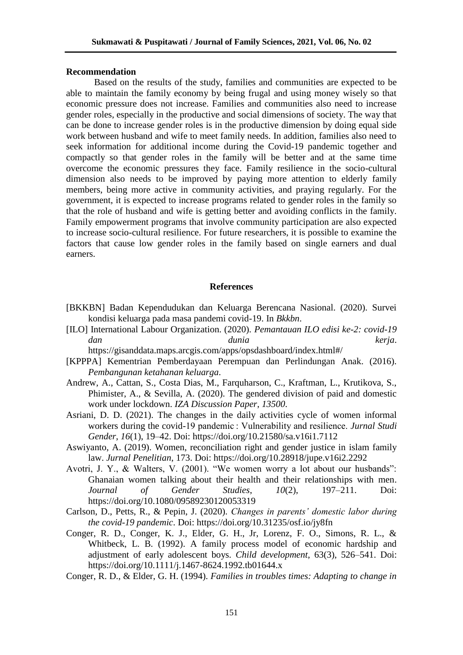## **Recommendation**

Based on the results of the study, families and communities are expected to be able to maintain the family economy by being frugal and using money wisely so that economic pressure does not increase. Families and communities also need to increase gender roles, especially in the productive and social dimensions of society. The way that can be done to increase gender roles is in the productive dimension by doing equal side work between husband and wife to meet family needs. In addition, families also need to seek information for additional income during the Covid-19 pandemic together and compactly so that gender roles in the family will be better and at the same time overcome the economic pressures they face. Family resilience in the socio-cultural dimension also needs to be improved by paying more attention to elderly family members, being more active in community activities, and praying regularly. For the government, it is expected to increase programs related to gender roles in the family so that the role of husband and wife is getting better and avoiding conflicts in the family. Family empowerment programs that involve community participation are also expected to increase socio-cultural resilience. For future researchers, it is possible to examine the factors that cause low gender roles in the family based on single earners and dual earners.

## **References**

- [BKKBN] Badan Kependudukan dan Keluarga Berencana Nasional. (2020). Survei kondisi keluarga pada masa pandemi covid-19. In *Bkkbn*.
- [ILO] International Labour Organization. (2020). *Pemantauan ILO edisi ke-2: covid-19 dan dunia kerja*.

https://gisanddata.maps.arcgis.com/apps/opsdashboard/index.html#/

- [KPPPA] Kementrian Pemberdayaan Perempuan dan Perlindungan Anak. (2016). *Pembangunan ketahanan keluarga*.
- Andrew, A., Cattan, S., Costa Dias, M., Farquharson, C., Kraftman, L., Krutikova, S., Phimister, A., & Sevilla, A. (2020). The gendered division of paid and domestic work under lockdown. *IZA Discussion Paper*, *13500*.
- Asriani, D. D. (2021). The changes in the daily activities cycle of women informal workers during the covid-19 pandemic : Vulnerability and resilience. *Jurnal Studi Gender*, *16*(1), 19–42. Doi: https://doi.org/10.21580/sa.v16i1.7112
- Aswiyanto, A. (2019). Women, reconciliation right and gender justice in islam family law. *Jurnal Penelitian*, 173. Doi: https://doi.org/10.28918/jupe.v16i2.2292
- Avotri, J. Y., & Walters, V. (2001). "We women worry a lot about our husbands": Ghanaian women talking about their health and their relationships with men. *Journal of Gender Studies*, *10*(2), 197–211. Doi: https://doi.org/10.1080/09589230120053319
- Carlson, D., Petts, R., & Pepin, J. (2020). *Changes in parents' domestic labor during the covid-19 pandemic*. Doi: https://doi.org/10.31235/osf.io/jy8fn
- Conger, R. D., Conger, K. J., Elder, G. H., Jr, Lorenz, F. O., Simons, R. L., & Whitbeck, L. B. (1992). A family process model of economic hardship and adjustment of early adolescent boys. *Child development*, 63(3), 526–541. Doi: https://doi.org/10.1111/j.1467-8624.1992.tb01644.x
- Conger, R. D., & Elder, G. H. (1994). *Families in troubles times: Adapting to change in*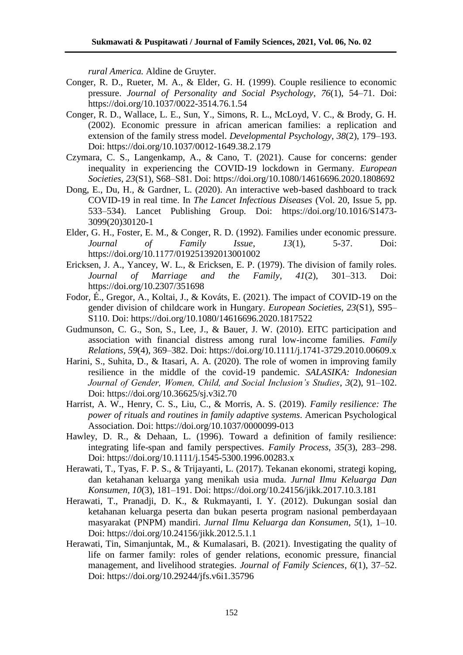*rural America.* Aldine de Gruyter.

- Conger, R. D., Rueter, M. A., & Elder, G. H. (1999). Couple resilience to economic pressure. *Journal of Personality and Social Psychology*, *76*(1), 54–71. Doi: https://doi.org/10.1037/0022-3514.76.1.54
- Conger, R. D., Wallace, L. E., Sun, Y., Simons, R. L., McLoyd, V. C., & Brody, G. H. (2002). Economic pressure in african american families: a replication and extension of the family stress model. *Developmental Psychology*, *38*(2), 179–193. Doi: https://doi.org/10.1037/0012-1649.38.2.179
- Czymara, C. S., Langenkamp, A., & Cano, T. (2021). Cause for concerns: gender inequality in experiencing the COVID-19 lockdown in Germany. *European Societies*, *23*(S1), S68–S81. Doi: https://doi.org/10.1080/14616696.2020.1808692
- Dong, E., Du, H., & Gardner, L. (2020). An interactive web-based dashboard to track COVID-19 in real time. In *The Lancet Infectious Diseases* (Vol. 20, Issue 5, pp. 533–534). Lancet Publishing Group. Doi: https://doi.org/10.1016/S1473- 3099(20)30120-1
- Elder, G. H., Foster, E. M., & Conger, R. D. (1992). Families under economic pressure. *Journal of Family Issue*, *13*(1), 5-37. Doi: https://doi.org/10.1177/019251392013001002
- Ericksen, J. A., Yancey, W. L., & Ericksen, E. P. (1979). The division of family roles. *Journal of Marriage and the Family*, *41*(2), 301–313. Doi: https://doi.org/10.2307/351698
- Fodor, É., Gregor, A., Koltai, J., & Kováts, E. (2021). The impact of COVID-19 on the gender division of childcare work in Hungary. *European Societies*, *23*(S1), S95– S110. Doi: https://doi.org/10.1080/14616696.2020.1817522
- Gudmunson, C. G., Son, S., Lee, J., & Bauer, J. W. (2010). EITC participation and association with financial distress among rural low-income families. *Family Relations*, *59*(4), 369–382. Doi: https://doi.org/10.1111/j.1741-3729.2010.00609.x
- Harini, S., Suhita, D., & Itasari, A. A. (2020). The role of women in improving family resilience in the middle of the covid-19 pandemic. *SALASIKA: Indonesian Journal of Gender, Women, Child, and Social Inclusion's Studies*, *3*(2), 91–102. Doi: https://doi.org/10.36625/sj.v3i2.70
- Harrist, A. W., Henry, C. S., Liu, C., & Morris, A. S. (2019). *Family resilience: The power of rituals and routines in family adaptive systems*. American Psychological Association. Doi: https://doi.org/10.1037/0000099-013
- Hawley, D. R., & Dehaan, L. (1996). Toward a definition of family resilience: integrating life-span and family perspectives. *Family Process*, *35*(3), 283–298. Doi: https://doi.org/10.1111/j.1545-5300.1996.00283.x
- Herawati, T., Tyas, F. P. S., & Trijayanti, L. (2017). Tekanan ekonomi, strategi koping, dan ketahanan keluarga yang menikah usia muda. *Jurnal Ilmu Keluarga Dan Konsumen*, *10*(3), 181–191. Doi: https://doi.org/10.24156/jikk.2017.10.3.181
- Herawati, T., Pranadji, D. K., & Rukmayanti, I. Y. (2012). Dukungan sosial dan ketahanan keluarga peserta dan bukan peserta program nasional pemberdayaan masyarakat (PNPM) mandiri. *Jurnal Ilmu Keluarga dan Konsumen*, *5*(1), 1–10. Doi: https://doi.org/10.24156/jikk.2012.5.1.1
- Herawati, Tin, Simanjuntak, M., & Kumalasari, B. (2021). Investigating the quality of life on farmer family: roles of gender relations, economic pressure, financial management, and livelihood strategies. *Journal of Family Sciences*, *6*(1), 37–52. Doi: https://doi.org/10.29244/jfs.v6i1.35796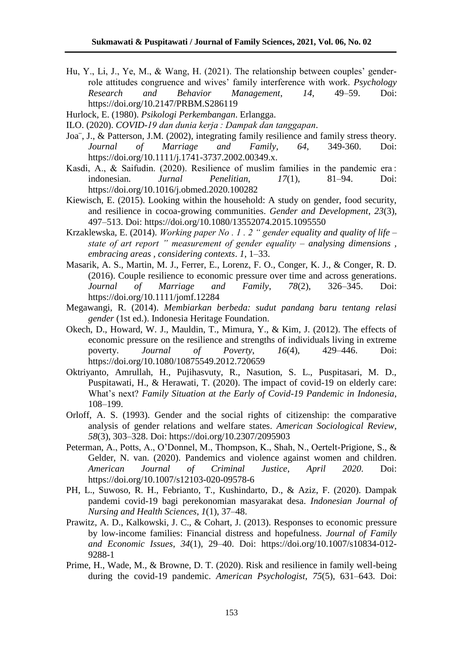- Hu, Y., Li, J., Ye, M., & Wang, H. (2021). The relationship between couples' genderrole attitudes congruence and wives' family interference with work. *Psychology Research and Behavior Management*, *14*, 49–59. Doi: https://doi.org/10.2147/PRBM.S286119
- Hurlock, E. (1980). *Psikologi Perkembangan*. Erlangga.

ILO. (2020). *COVID-19 dan dunia kerja : Dampak dan tanggapan*.

- Joa¨, J., & Patterson, J.M. (2002), integrating family resilience and family stress theory. *Journal of Marriage and Family, 64*, 349-360. Doi: https://doi.org/10.1111/j.1741-3737.2002.00349.x.
- Kasdi, A., & Saifudin. (2020). Resilience of muslim families in the pandemic era : indonesian. *Jurnal Penelitian*, *17*(1), 81–94. Doi: https://doi.org/10.1016/j.obmed.2020.100282
- Kiewisch, E. (2015). Looking within the household: A study on gender, food security, and resilience in cocoa-growing communities. *Gender and Development*, *23*(3), 497–513. Doi: https://doi.org/10.1080/13552074.2015.1095550
- Krzaklewska, E. (2014). *Working paper No . 1 . 2 " gender equality and quality of life – state of art report " measurement of gender equality – analysing dimensions , embracing areas , considering contexts*. *1*, 1–33.
- Masarik, A. S., Martin, M. J., Ferrer, E., Lorenz, F. O., Conger, K. J., & Conger, R. D. (2016). Couple resilience to economic pressure over time and across generations. *Journal of Marriage and Family*, *78*(2), 326–345. Doi: https://doi.org/10.1111/jomf.12284
- Megawangi, R. (2014). *Membiarkan berbeda: sudut pandang baru tentang relasi gender* (1st ed.). Indonesia Heritage Foundation.
- Okech, D., Howard, W. J., Mauldin, T., Mimura, Y., & Kim, J. (2012). The effects of economic pressure on the resilience and strengths of individuals living in extreme poverty. *Journal of Poverty*, *16*(4), 429–446. Doi: https://doi.org/10.1080/10875549.2012.720659
- Oktriyanto, Amrullah, H., Pujihasvuty, R., Nasution, S. L., Puspitasari, M. D., Puspitawati, H., & Herawati, T. (2020). The impact of covid-19 on elderly care: What's next? *Family Situation at the Early of Covid-19 Pandemic in Indonesia*, 108–199.
- Orloff, A. S. (1993). Gender and the social rights of citizenship: the comparative analysis of gender relations and welfare states. *American Sociological Review*, *58*(3), 303–328. Doi: https://doi.org/10.2307/2095903
- Peterman, A., Potts, A., O'Donnel, M., Thompson, K., Shah, N., Oertelt-Prigione, S., & Gelder, N. van. (2020). Pandemics and violence against women and children. *American Journal of Criminal Justice*, *April 2020*. Doi: https://doi.org/10.1007/s12103-020-09578-6
- PH, L., Suwoso, R. H., Febrianto, T., Kushindarto, D., & Aziz, F. (2020). Dampak pandemi covid-19 bagi perekonomian masyarakat desa. *Indonesian Journal of Nursing and Health Sciences*, *1*(1), 37–48.
- Prawitz, A. D., Kalkowski, J. C., & Cohart, J. (2013). Responses to economic pressure by low-income families: Financial distress and hopefulness. *Journal of Family and Economic Issues*, *34*(1), 29–40. Doi: https://doi.org/10.1007/s10834-012- 9288-1
- Prime, H., Wade, M., & Browne, D. T. (2020). Risk and resilience in family well-being during the covid-19 pandemic. *American Psychologist*, *75*(5), 631–643. Doi: